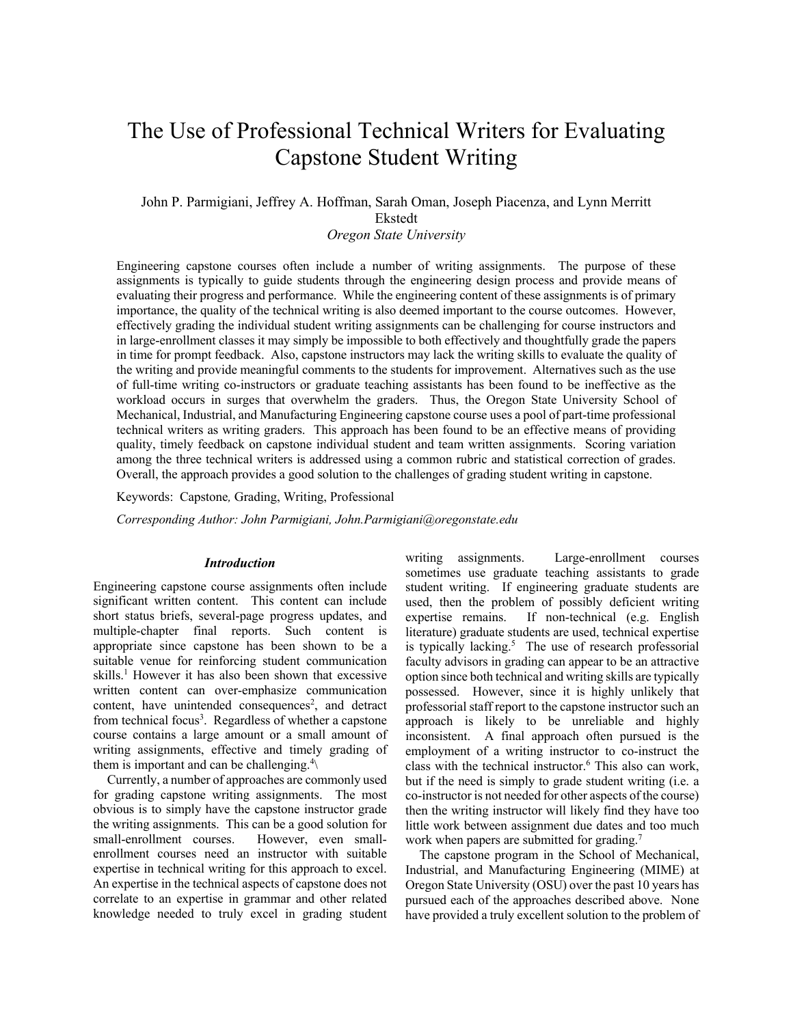# The Use of Professional Technical Writers for Evaluating Capstone Student Writing

## John P. Parmigiani, Jeffrey A. Hoffman, Sarah Oman, Joseph Piacenza, and Lynn Merritt Ekstedt

*Oregon State University*

Engineering capstone courses often include a number of writing assignments. The purpose of these assignments is typically to guide students through the engineering design process and provide means of evaluating their progress and performance. While the engineering content of these assignments is of primary importance, the quality of the technical writing is also deemed important to the course outcomes. However, effectively grading the individual student writing assignments can be challenging for course instructors and in large-enrollment classes it may simply be impossible to both effectively and thoughtfully grade the papers in time for prompt feedback. Also, capstone instructors may lack the writing skills to evaluate the quality of the writing and provide meaningful comments to the students for improvement. Alternatives such as the use of full-time writing co-instructors or graduate teaching assistants has been found to be ineffective as the workload occurs in surges that overwhelm the graders. Thus, the Oregon State University School of Mechanical, Industrial, and Manufacturing Engineering capstone course uses a pool of part-time professional technical writers as writing graders. This approach has been found to be an effective means of providing quality, timely feedback on capstone individual student and team written assignments. Scoring variation among the three technical writers is addressed using a common rubric and statistical correction of grades. Overall, the approach provides a good solution to the challenges of grading student writing in capstone.

Keywords:Capstone*,* Grading, Writing, Professional

*Corresponding Author: John Parmigiani, John.Parmigiani@oregonstate.edu*

#### *Introduction*

Engineering capstone course assignments often include significant written content. This content can include short status briefs, several-page progress updates, and multiple-chapter final reports. Such content is appropriate since capstone has been shown to be a suitable venue for reinforcing student communication skills. <sup>1</sup> However it has also been shown that excessive written content can over-emphasize communication content, have unintended consequences<sup>2</sup>, and detract from technical focus<sup>3</sup>. Regardless of whether a capstone course contains a large amount or a small amount of writing assignments, effective and timely grading of them is important and can be challenging.<sup>4</sup> $\langle$ 

Currently, a number of approaches are commonly used for grading capstone writing assignments. The most obvious is to simply have the capstone instructor grade the writing assignments. This can be a good solution for small-enrollment courses. However, even smallenrollment courses need an instructor with suitable expertise in technical writing for this approach to excel. An expertise in the technical aspects of capstone does not correlate to an expertise in grammar and other related knowledge needed to truly excel in grading student writing assignments. Large-enrollment courses sometimes use graduate teaching assistants to grade student writing. If engineering graduate students are used, then the problem of possibly deficient writing expertise remains. If non-technical (e.g. English literature) graduate students are used, technical expertise is typically lacking. 5 The use of research professorial faculty advisors in grading can appear to be an attractive option since both technical and writing skills are typically possessed. However, since it is highly unlikely that professorial staff report to the capstone instructor such an approach is likely to be unreliable and highly inconsistent. A final approach often pursued is the employment of a writing instructor to co-instruct the class with the technical instructor. <sup>6</sup> This also can work, but if the need is simply to grade student writing (i.e. a co-instructor is not needed for other aspects of the course) then the writing instructor will likely find they have too little work between assignment due dates and too much work when papers are submitted for grading.<sup>7</sup>

The capstone program in the School of Mechanical, Industrial, and Manufacturing Engineering (MIME) at Oregon State University (OSU) over the past 10 years has pursued each of the approaches described above. None have provided a truly excellent solution to the problem of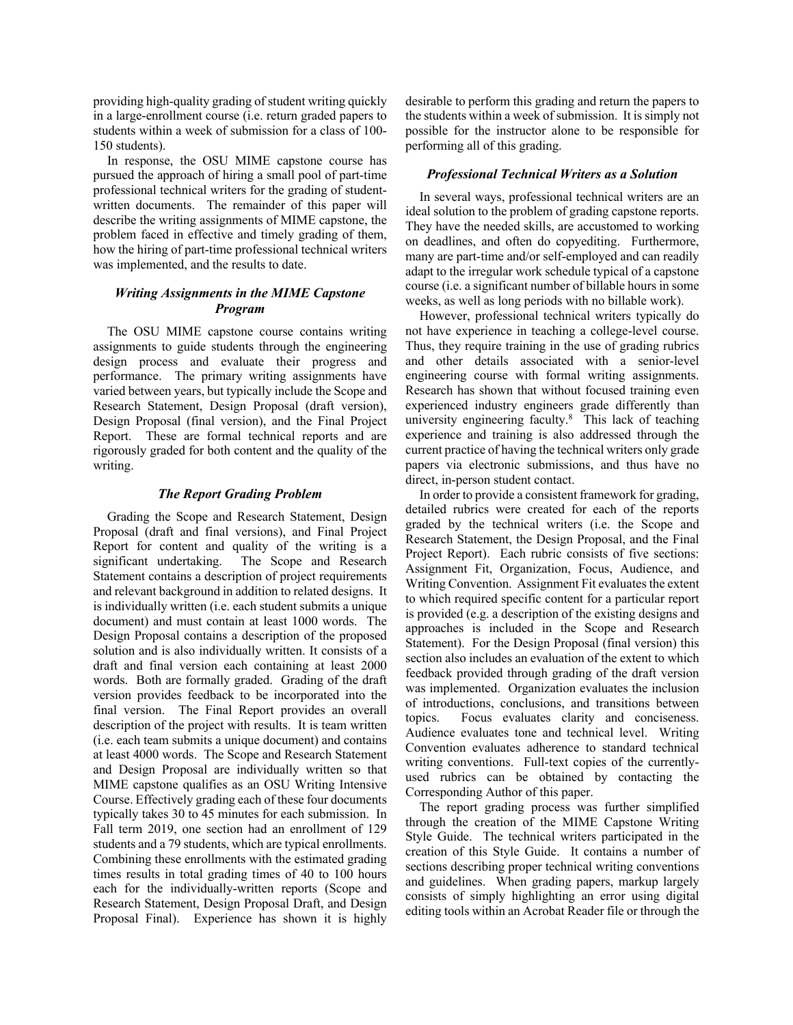providing high-quality grading of student writing quickly in a large-enrollment course (i.e. return graded papers to students within a week of submission for a class of 100- 150 students).

In response, the OSU MIME capstone course has pursued the approach of hiring a small pool of part-time professional technical writers for the grading of studentwritten documents. The remainder of this paper will describe the writing assignments of MIME capstone, the problem faced in effective and timely grading of them, how the hiring of part-time professional technical writers was implemented, and the results to date.

#### *Writing Assignments in the MIME Capstone Program*

The OSU MIME capstone course contains writing assignments to guide students through the engineering design process and evaluate their progress and performance. The primary writing assignments have varied between years, but typically include the Scope and Research Statement, Design Proposal (draft version), Design Proposal (final version), and the Final Project Report. These are formal technical reports and are rigorously graded for both content and the quality of the writing.

#### *The Report Grading Problem*

Grading the Scope and Research Statement, Design Proposal (draft and final versions), and Final Project Report for content and quality of the writing is a significant undertaking. The Scope and Research Statement contains a description of project requirements and relevant background in addition to related designs. It is individually written (i.e. each student submits a unique document) and must contain at least 1000 words. The Design Proposal contains a description of the proposed solution and is also individually written. It consists of a draft and final version each containing at least 2000 words. Both are formally graded. Grading of the draft version provides feedback to be incorporated into the final version. The Final Report provides an overall description of the project with results. It is team written (i.e. each team submits a unique document) and contains at least 4000 words. The Scope and Research Statement and Design Proposal are individually written so that MIME capstone qualifies as an OSU Writing Intensive Course. Effectively grading each of these four documents typically takes 30 to 45 minutes for each submission. In Fall term 2019, one section had an enrollment of 129 students and a 79 students, which are typical enrollments. Combining these enrollments with the estimated grading times results in total grading times of 40 to 100 hours each for the individually-written reports (Scope and Research Statement, Design Proposal Draft, and Design Proposal Final). Experience has shown it is highly

desirable to perform this grading and return the papers to the students within a week of submission. It is simply not possible for the instructor alone to be responsible for performing all of this grading.

#### *Professional Technical Writers as a Solution*

In several ways, professional technical writers are an ideal solution to the problem of grading capstone reports. They have the needed skills, are accustomed to working on deadlines, and often do copyediting. Furthermore, many are part-time and/or self-employed and can readily adapt to the irregular work schedule typical of a capstone course (i.e. a significant number of billable hours in some weeks, as well as long periods with no billable work).

However, professional technical writers typically do not have experience in teaching a college-level course. Thus, they require training in the use of grading rubrics and other details associated with a senior-level engineering course with formal writing assignments. Research has shown that without focused training even experienced industry engineers grade differently than university engineering faculty. 8 This lack of teaching experience and training is also addressed through the current practice of having the technical writers only grade papers via electronic submissions, and thus have no direct, in-person student contact.

In order to provide a consistent framework for grading, detailed rubrics were created for each of the reports graded by the technical writers (i.e. the Scope and Research Statement, the Design Proposal, and the Final Project Report). Each rubric consists of five sections: Assignment Fit, Organization, Focus, Audience, and Writing Convention. Assignment Fit evaluates the extent to which required specific content for a particular report is provided (e.g. a description of the existing designs and approaches is included in the Scope and Research Statement). For the Design Proposal (final version) this section also includes an evaluation of the extent to which feedback provided through grading of the draft version was implemented. Organization evaluates the inclusion of introductions, conclusions, and transitions between topics. Focus evaluates clarity and conciseness. Audience evaluates tone and technical level. Writing Convention evaluates adherence to standard technical writing conventions. Full-text copies of the currentlyused rubrics can be obtained by contacting the Corresponding Author of this paper.

The report grading process was further simplified through the creation of the MIME Capstone Writing Style Guide. The technical writers participated in the creation of this Style Guide. It contains a number of sections describing proper technical writing conventions and guidelines. When grading papers, markup largely consists of simply highlighting an error using digital editing tools within an Acrobat Reader file or through the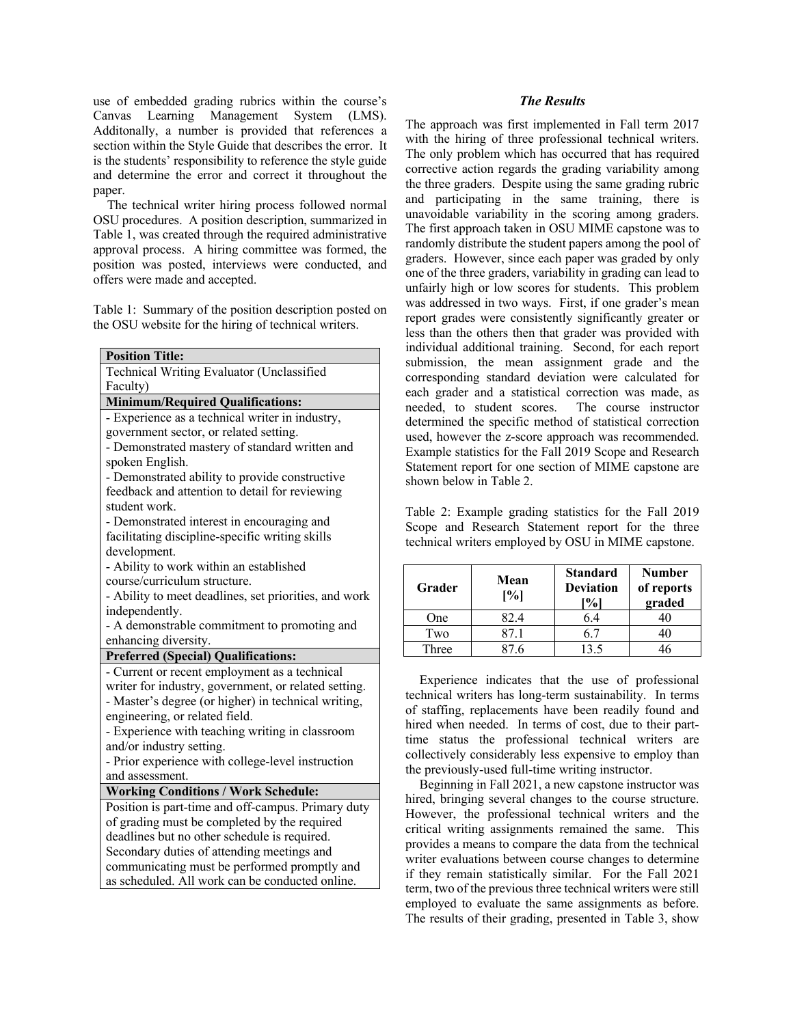use of embedded grading rubrics within the course's Canvas Learning Management System (LMS). Additonally, a number is provided that references a section within the Style Guide that describes the error. It is the students' responsibility to reference the style guide and determine the error and correct it throughout the paper.

The technical writer hiring process followed normal OSU procedures. A position description, summarized in Table 1, was created through the required administrative approval process. A hiring committee was formed, the position was posted, interviews were conducted, and offers were made and accepted.

Table 1: Summary of the position description posted on the OSU website for the hiring of technical writers.

| <b>Position Title:</b>                                |  |  |  |  |
|-------------------------------------------------------|--|--|--|--|
| Technical Writing Evaluator (Unclassified             |  |  |  |  |
| Faculty)                                              |  |  |  |  |
| <b>Minimum/Required Qualifications:</b>               |  |  |  |  |
| - Experience as a technical writer in industry,       |  |  |  |  |
| government sector, or related setting.                |  |  |  |  |
| - Demonstrated mastery of standard written and        |  |  |  |  |
| spoken English.                                       |  |  |  |  |
| - Demonstrated ability to provide constructive        |  |  |  |  |
| feedback and attention to detail for reviewing        |  |  |  |  |
| student work.                                         |  |  |  |  |
| - Demonstrated interest in encouraging and            |  |  |  |  |
| facilitating discipline-specific writing skills       |  |  |  |  |
| development.                                          |  |  |  |  |
| - Ability to work within an established               |  |  |  |  |
| course/curriculum structure.                          |  |  |  |  |
| - Ability to meet deadlines, set priorities, and work |  |  |  |  |
| independently.                                        |  |  |  |  |
| - A demonstrable commitment to promoting and          |  |  |  |  |
| enhancing diversity.                                  |  |  |  |  |
| <b>Preferred (Special) Qualifications:</b>            |  |  |  |  |
| - Current or recent employment as a technical         |  |  |  |  |
| writer for industry, government, or related setting.  |  |  |  |  |
| - Master's degree (or higher) in technical writing,   |  |  |  |  |
| engineering, or related field.                        |  |  |  |  |
| - Experience with teaching writing in classroom       |  |  |  |  |
| and/or industry setting.                              |  |  |  |  |
| - Prior experience with college-level instruction     |  |  |  |  |
| and assessment.                                       |  |  |  |  |
| <b>Working Conditions / Work Schedule:</b>            |  |  |  |  |
| Position is part-time and off-campus. Primary duty    |  |  |  |  |
| of grading must be completed by the required          |  |  |  |  |
| deadlines but no other schedule is required.          |  |  |  |  |
| Secondary duties of attending meetings and            |  |  |  |  |
| communicating must be performed promptly and          |  |  |  |  |
| as scheduled. All work can be conducted online.       |  |  |  |  |

#### *The Results*

The approach was first implemented in Fall term 2017 with the hiring of three professional technical writers. The only problem which has occurred that has required corrective action regards the grading variability among the three graders. Despite using the same grading rubric and participating in the same training, there is unavoidable variability in the scoring among graders. The first approach taken in OSU MIME capstone was to randomly distribute the student papers among the pool of graders. However, since each paper was graded by only one of the three graders, variability in grading can lead to unfairly high or low scores for students. This problem was addressed in two ways. First, if one grader's mean report grades were consistently significantly greater or less than the others then that grader was provided with individual additional training. Second, for each report submission, the mean assignment grade and the corresponding standard deviation were calculated for each grader and a statistical correction was made, as needed, to student scores. The course instructor determined the specific method of statistical correction used, however the z-score approach was recommended. Example statistics for the Fall 2019 Scope and Research Statement report for one section of MIME capstone are shown below in Table 2.

Table 2: Example grading statistics for the Fall 2019 Scope and Research Statement report for the three technical writers employed by OSU in MIME capstone.

| Grader | Mean<br>[%] | <b>Standard</b><br><b>Deviation</b><br>$\%$ | <b>Number</b><br>of reports<br>graded |
|--------|-------------|---------------------------------------------|---------------------------------------|
| One    | 82.4        | 6.4                                         |                                       |
| Two    | 87.1        | 6.7                                         |                                       |
| Three  | የ7 6        | 13.5                                        |                                       |

Experience indicates that the use of professional technical writers has long-term sustainability. In terms of staffing, replacements have been readily found and hired when needed. In terms of cost, due to their parttime status the professional technical writers are collectively considerably less expensive to employ than the previously-used full-time writing instructor.

Beginning in Fall 2021, a new capstone instructor was hired, bringing several changes to the course structure. However, the professional technical writers and the critical writing assignments remained the same. This provides a means to compare the data from the technical writer evaluations between course changes to determine if they remain statistically similar. For the Fall 2021 term, two of the previous three technical writers were still employed to evaluate the same assignments as before. The results of their grading, presented in Table 3, show